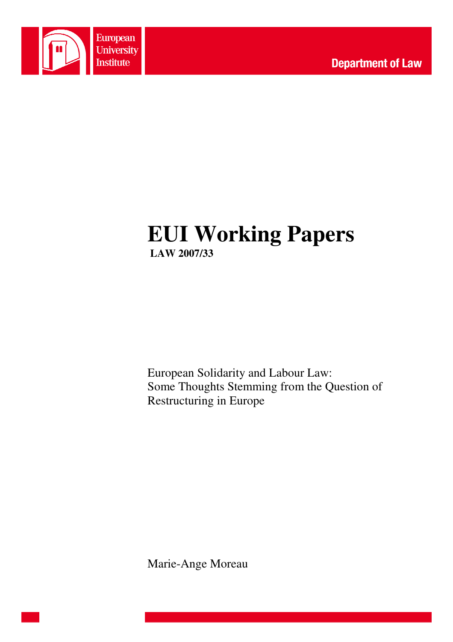

# **EUI Working Papers LAW 2007/33**

European Solidarity and Labour Law: Some Thoughts Stemming from the Question of Restructuring in Europe

Marie-Ange Moreau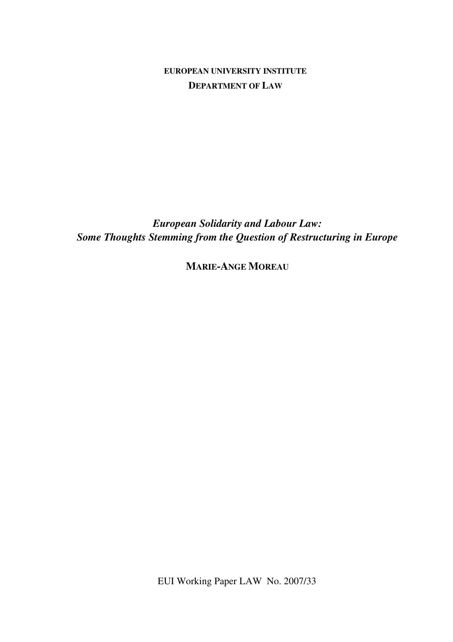**EUROPEAN UNIVERSITY INSTITUTE DEPARTMENT OF LAW**

*European Solidarity and Labour Law: Some Thoughts Stemming from the Question of Restructuring in Europe* 

**MARIE-ANGE MOREAU**

EUI Working Paper LAW No. 2007/33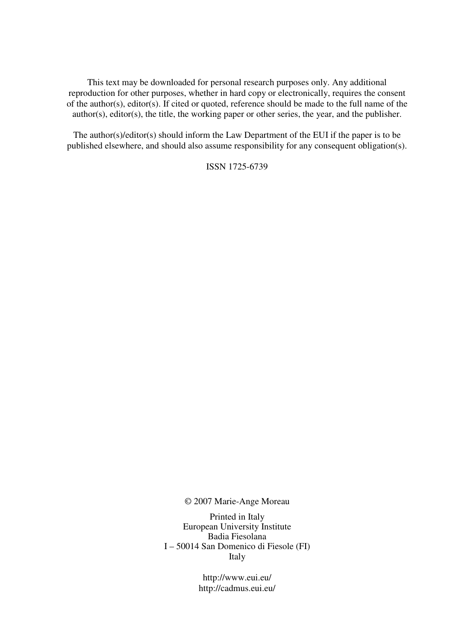This text may be downloaded for personal research purposes only. Any additional reproduction for other purposes, whether in hard copy or electronically, requires the consent of the author(s), editor(s). If cited or quoted, reference should be made to the full name of the author(s), editor(s), the title, the working paper or other series, the year, and the publisher.

The author(s)/editor(s) should inform the Law Department of the EUI if the paper is to be published elsewhere, and should also assume responsibility for any consequent obligation(s).

ISSN 1725-6739

© 2007 Marie-Ange Moreau

Printed in Italy European University Institute Badia Fiesolana I – 50014 San Domenico di Fiesole (FI) Italy

> http://www.eui.eu/ http://cadmus.eui.eu/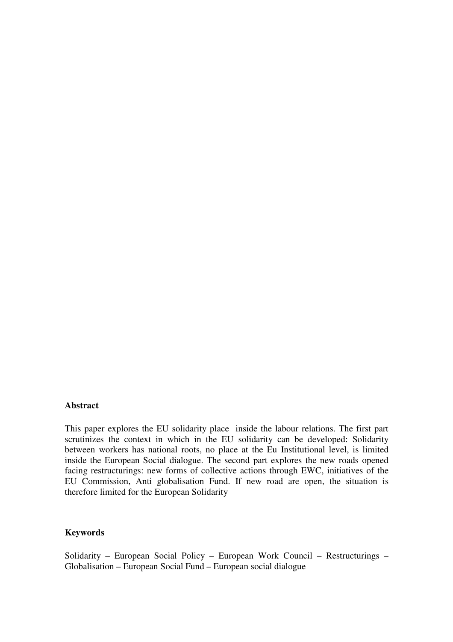## **Abstract**

This paper explores the EU solidarity place inside the labour relations. The first part scrutinizes the context in which in the EU solidarity can be developed: Solidarity between workers has national roots, no place at the Eu Institutional level, is limited inside the European Social dialogue. The second part explores the new roads opened facing restructurings: new forms of collective actions through EWC, initiatives of the EU Commission, Anti globalisation Fund. If new road are open, the situation is therefore limited for the European Solidarity

# **Keywords**

Solidarity – European Social Policy – European Work Council – Restructurings – Globalisation – European Social Fund – European social dialogue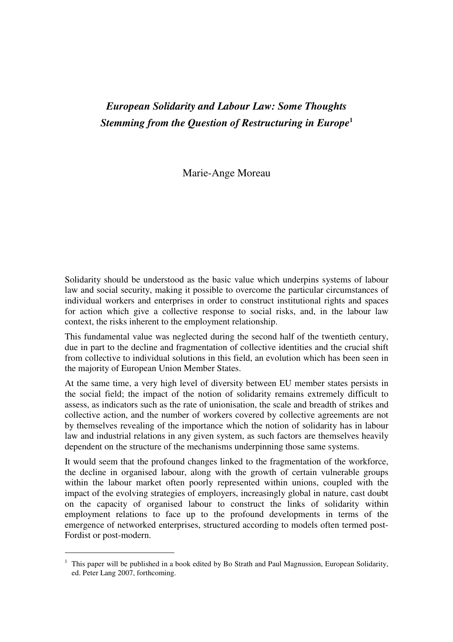# *European Solidarity and Labour Law: Some Thoughts Stemming from the Question of Restructuring in Europe***<sup>1</sup>**

Marie-Ange Moreau

Solidarity should be understood as the basic value which underpins systems of labour law and social security, making it possible to overcome the particular circumstances of individual workers and enterprises in order to construct institutional rights and spaces for action which give a collective response to social risks, and, in the labour law context, the risks inherent to the employment relationship.

This fundamental value was neglected during the second half of the twentieth century, due in part to the decline and fragmentation of collective identities and the crucial shift from collective to individual solutions in this field, an evolution which has been seen in the majority of European Union Member States.

At the same time, a very high level of diversity between EU member states persists in the social field; the impact of the notion of solidarity remains extremely difficult to assess, as indicators such as the rate of unionisation, the scale and breadth of strikes and collective action, and the number of workers covered by collective agreements are not by themselves revealing of the importance which the notion of solidarity has in labour law and industrial relations in any given system, as such factors are themselves heavily dependent on the structure of the mechanisms underpinning those same systems.

It would seem that the profound changes linked to the fragmentation of the workforce, the decline in organised labour, along with the growth of certain vulnerable groups within the labour market often poorly represented within unions, coupled with the impact of the evolving strategies of employers, increasingly global in nature, cast doubt on the capacity of organised labour to construct the links of solidarity within employment relations to face up to the profound developments in terms of the emergence of networked enterprises, structured according to models often termed post-Fordist or post-modern.

<sup>1</sup> This paper will be published in a book edited by Bo Strath and Paul Magnussion, European Solidarity, ed. Peter Lang 2007, forthcoming.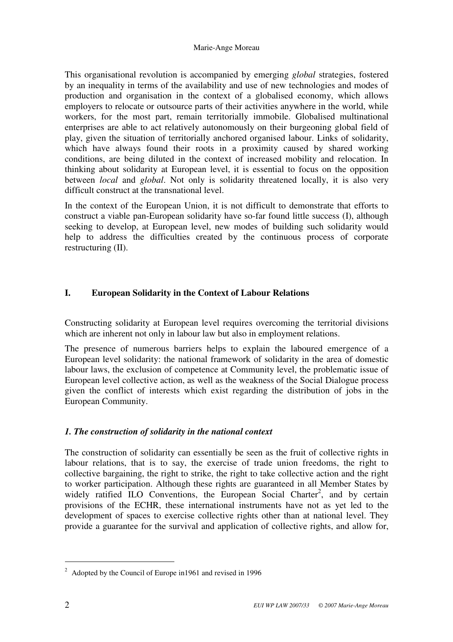This organisational revolution is accompanied by emerging *global* strategies, fostered by an inequality in terms of the availability and use of new technologies and modes of production and organisation in the context of a globalised economy, which allows employers to relocate or outsource parts of their activities anywhere in the world, while workers, for the most part, remain territorially immobile. Globalised multinational enterprises are able to act relatively autonomously on their burgeoning global field of play, given the situation of territorially anchored organised labour. Links of solidarity, which have always found their roots in a proximity caused by shared working conditions, are being diluted in the context of increased mobility and relocation. In thinking about solidarity at European level, it is essential to focus on the opposition between *local* and *global*. Not only is solidarity threatened locally, it is also very difficult construct at the transnational level.

In the context of the European Union, it is not difficult to demonstrate that efforts to construct a viable pan-European solidarity have so-far found little success (I), although seeking to develop, at European level, new modes of building such solidarity would help to address the difficulties created by the continuous process of corporate restructuring (II).

# **I. European Solidarity in the Context of Labour Relations**

Constructing solidarity at European level requires overcoming the territorial divisions which are inherent not only in labour law but also in employment relations.

The presence of numerous barriers helps to explain the laboured emergence of a European level solidarity: the national framework of solidarity in the area of domestic labour laws, the exclusion of competence at Community level, the problematic issue of European level collective action, as well as the weakness of the Social Dialogue process given the conflict of interests which exist regarding the distribution of jobs in the European Community.

# *1. The construction of solidarity in the national context*

The construction of solidarity can essentially be seen as the fruit of collective rights in labour relations, that is to say, the exercise of trade union freedoms, the right to collective bargaining, the right to strike, the right to take collective action and the right to worker participation. Although these rights are guaranteed in all Member States by widely ratified  $\overline{L}$ O Conventions, the European Social Charter<sup>2</sup>, and by certain provisions of the ECHR, these international instruments have not as yet led to the development of spaces to exercise collective rights other than at national level. They provide a guarantee for the survival and application of collective rights, and allow for,

 $2^{\circ}$  Adopted by the Council of Europe in 1961 and revised in 1996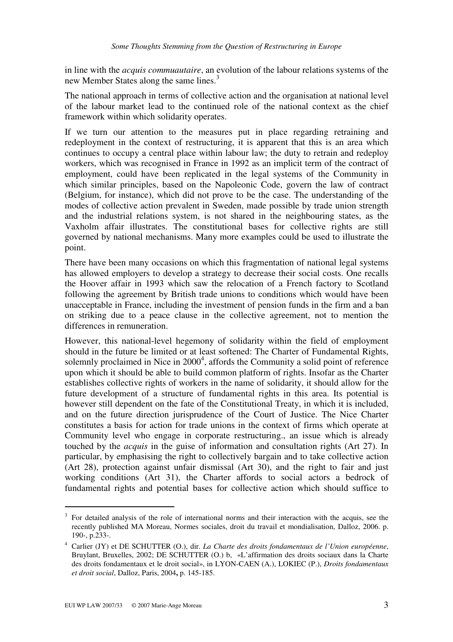in line with the *acquis commuautaire*, an evolution of the labour relations systems of the new Member States along the same lines.<sup>3</sup>

The national approach in terms of collective action and the organisation at national level of the labour market lead to the continued role of the national context as the chief framework within which solidarity operates.

If we turn our attention to the measures put in place regarding retraining and redeployment in the context of restructuring, it is apparent that this is an area which continues to occupy a central place within labour law; the duty to retrain and redeploy workers, which was recognised in France in 1992 as an implicit term of the contract of employment, could have been replicated in the legal systems of the Community in which similar principles, based on the Napoleonic Code, govern the law of contract (Belgium, for instance), which did not prove to be the case. The understanding of the modes of collective action prevalent in Sweden, made possible by trade union strength and the industrial relations system, is not shared in the neighbouring states, as the Vaxholm affair illustrates. The constitutional bases for collective rights are still governed by national mechanisms. Many more examples could be used to illustrate the point.

There have been many occasions on which this fragmentation of national legal systems has allowed employers to develop a strategy to decrease their social costs. One recalls the Hoover affair in 1993 which saw the relocation of a French factory to Scotland following the agreement by British trade unions to conditions which would have been unacceptable in France, including the investment of pension funds in the firm and a ban on striking due to a peace clause in the collective agreement, not to mention the differences in remuneration.

However, this national-level hegemony of solidarity within the field of employment should in the future be limited or at least softened: The Charter of Fundamental Rights, solemnly proclaimed in Nice in  $2000<sup>4</sup>$ , affords the Community a solid point of reference upon which it should be able to build common platform of rights. Insofar as the Charter establishes collective rights of workers in the name of solidarity, it should allow for the future development of a structure of fundamental rights in this area. Its potential is however still dependent on the fate of the Constitutional Treaty, in which it is included, and on the future direction jurisprudence of the Court of Justice. The Nice Charter constitutes a basis for action for trade unions in the context of firms which operate at Community level who engage in corporate restructuring., an issue which is already touched by the *acquis* in the guise of information and consultation rights (Art 27). In particular, by emphasising the right to collectively bargain and to take collective action (Art 28), protection against unfair dismissal (Art 30), and the right to fair and just working conditions (Art 31), the Charter affords to social actors a bedrock of fundamental rights and potential bases for collective action which should suffice to

<sup>&</sup>lt;sup>3</sup> For detailed analysis of the role of international norms and their interaction with the acquis, see the recently published MA Moreau, Normes sociales, droit du travail et mondialisation, Dalloz, 2006. p. 190-, p.233-.

<sup>4</sup> Carlier (JY) et DE SCHUTTER (O.), dir. *La Charte des droits fondamentaux de l'Union européenne*, Bruylant, Bruxelles, 2002; DE SCHUTTER (O.) b, «L'affirmation des droits sociaux dans la Charte des droits fondamentaux et le droit social», in LYON-CAEN (A.), LOKIEC (P.), *Droits fondamentaux et droit social*, Dalloz, Paris, 2004**,** p. 145-185.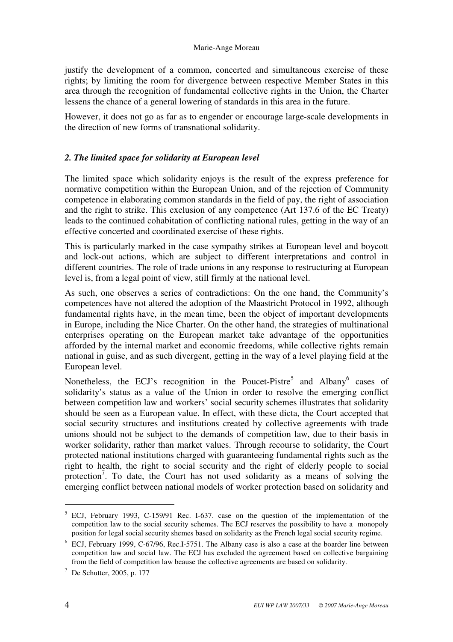justify the development of a common, concerted and simultaneous exercise of these rights; by limiting the room for divergence between respective Member States in this area through the recognition of fundamental collective rights in the Union, the Charter lessens the chance of a general lowering of standards in this area in the future.

However, it does not go as far as to engender or encourage large-scale developments in the direction of new forms of transnational solidarity.

# *2. The limited space for solidarity at European level*

The limited space which solidarity enjoys is the result of the express preference for normative competition within the European Union, and of the rejection of Community competence in elaborating common standards in the field of pay, the right of association and the right to strike. This exclusion of any competence (Art 137.6 of the EC Treaty) leads to the continued cohabitation of conflicting national rules, getting in the way of an effective concerted and coordinated exercise of these rights.

This is particularly marked in the case sympathy strikes at European level and boycott and lock-out actions, which are subject to different interpretations and control in different countries. The role of trade unions in any response to restructuring at European level is, from a legal point of view, still firmly at the national level.

As such, one observes a series of contradictions: On the one hand, the Community's competences have not altered the adoption of the Maastricht Protocol in 1992, although fundamental rights have, in the mean time, been the object of important developments in Europe, including the Nice Charter. On the other hand, the strategies of multinational enterprises operating on the European market take advantage of the opportunities afforded by the internal market and economic freedoms, while collective rights remain national in guise, and as such divergent, getting in the way of a level playing field at the European level.

Nonetheless, the ECJ's recognition in the Poucet-Pistre<sup>5</sup> and Albany<sup>6</sup> cases of solidarity's status as a value of the Union in order to resolve the emerging conflict between competition law and workers' social security schemes illustrates that solidarity should be seen as a European value. In effect, with these dicta, the Court accepted that social security structures and institutions created by collective agreements with trade unions should not be subject to the demands of competition law, due to their basis in worker solidarity, rather than market values. Through recourse to solidarity, the Court protected national institutions charged with guaranteeing fundamental rights such as the right to health, the right to social security and the right of elderly people to social protection<sup>7</sup>. To date, the Court has not used solidarity as a means of solving the emerging conflict between national models of worker protection based on solidarity and

<sup>&</sup>lt;sup>5</sup> ECJ, February 1993, C-159/91 Rec. I-637. case on the question of the implementation of the competition law to the social security schemes. The ECJ reserves the possibility to have a monopoly position for legal social security shemes based on solidarity as the French legal social security regime.

<sup>&</sup>lt;sup>6</sup> ECJ, February 1999, C-67/96, Rec.I-5751. The Albany case is also a case at the boarder line between competition law and social law. The ECJ has excluded the agreement based on collective bargaining from the field of competition law beause the collective agreements are based on solidarity.

<sup>7</sup> De Schutter, 2005, p. 177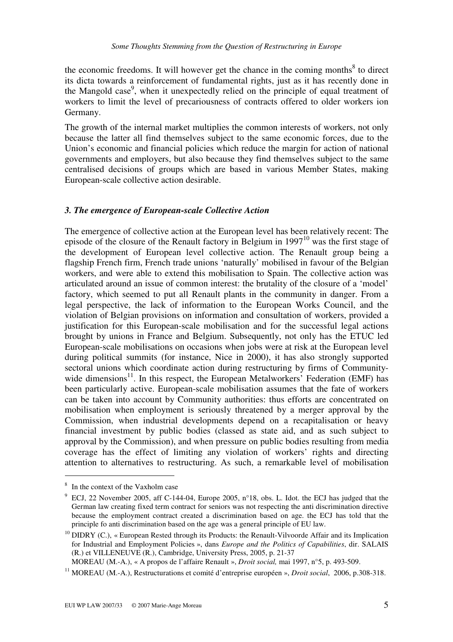the economic freedoms. It will however get the chance in the coming months $8$  to direct its dicta towards a reinforcement of fundamental rights, just as it has recently done in the Mangold case<sup>9</sup>, when it unexpectedly relied on the principle of equal treatment of workers to limit the level of precariousness of contracts offered to older workers ion Germany.

The growth of the internal market multiplies the common interests of workers, not only because the latter all find themselves subject to the same economic forces, due to the Union's economic and financial policies which reduce the margin for action of national governments and employers, but also because they find themselves subject to the same centralised decisions of groups which are based in various Member States, making European-scale collective action desirable.

#### *3. The emergence of European-scale Collective Action*

The emergence of collective action at the European level has been relatively recent: The episode of the closure of the Renault factory in Belgium in  $1997<sup>10</sup>$  was the first stage of the development of European level collective action. The Renault group being a flagship French firm, French trade unions 'naturally' mobilised in favour of the Belgian workers, and were able to extend this mobilisation to Spain. The collective action was articulated around an issue of common interest: the brutality of the closure of a 'model' factory, which seemed to put all Renault plants in the community in danger. From a legal perspective, the lack of information to the European Works Council, and the violation of Belgian provisions on information and consultation of workers, provided a justification for this European-scale mobilisation and for the successful legal actions brought by unions in France and Belgium. Subsequently, not only has the ETUC led European-scale mobilisations on occasions when jobs were at risk at the European level during political summits (for instance, Nice in 2000), it has also strongly supported sectoral unions which coordinate action during restructuring by firms of Communitywide dimensions<sup>11</sup>. In this respect, the European Metalworkers' Federation (EMF) has been particularly active. European-scale mobilisation assumes that the fate of workers can be taken into account by Community authorities: thus efforts are concentrated on mobilisation when employment is seriously threatened by a merger approval by the Commission, when industrial developments depend on a recapitalisation or heavy financial investment by public bodies (classed as state aid, and as such subject to approval by the Commission), and when pressure on public bodies resulting from media coverage has the effect of limiting any violation of workers' rights and directing attention to alternatives to restructuring. As such, a remarkable level of mobilisation

<sup>&</sup>lt;sup>8</sup> In the context of the Vaxholm case

 $9$  ECJ, 22 November 2005, aff C-144-04, Europe 2005, n°18, obs. L. Idot. the ECJ has judged that the German law creating fixed term contract for seniors was not respecting the anti discrimination directive because the employment contract created a discrimination based on age. the ECJ has told that the principle fo anti discrimination based on the age was a general principle of EU law.

 $10$  DIDRY (C.), « European Rested through its Products: the Renault-Vilvoorde Affair and its Implication for Industrial and Employment Policies », dans *Europe and the Politics of Capabilities*, dir. SALAIS (R.) et VILLENEUVE (R.), Cambridge, University Press, 2005, p. 21-37

MOREAU (M.-A.), « A propos de l'affaire Renault », *Droit social,* mai 1997, n°5, p. 493-509.

<sup>11</sup> MOREAU (M.-A.), Restructurations et comité d'entreprise européen », *Droit social*, 2006, p.308-318.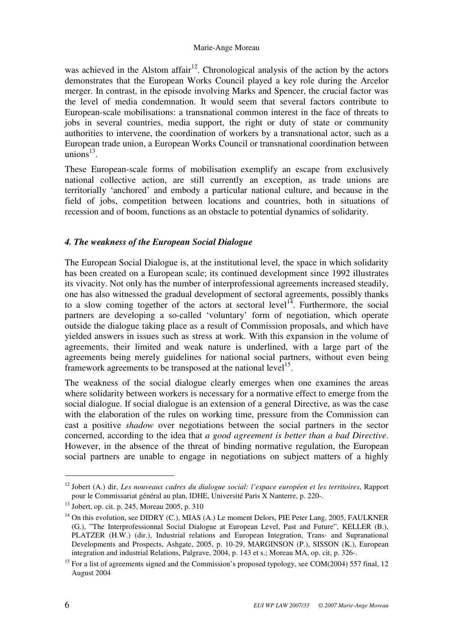was achieved in the Alstom affair<sup>12</sup>. Chronological analysis of the action by the actors demonstrates that the European Works Council played a key role during the Arcelor merger. In contrast, in the episode involving Marks and Spencer, the crucial factor was the level of media condemnation. It would seem that several factors contribute to European-scale mobilisations: a transnational common interest in the face of threats to jobs in several countries, media support, the right or duty of state or community authorities to intervene, the coordination of workers by a transnational actor, such as a European trade union, a European Works Council or transnational coordination between unions $^{13}$ .

These European-scale forms of mobilisation exemplify an escape from exclusively national collective action, are still currently an exception, as trade unions are territorially 'anchored' and embody a particular national culture, and because in the field of jobs, competition between locations and countries, both in situations of recession and of boom, functions as an obstacle to potential dynamics of solidarity.

# *4. The weakness of the European Social Dialogue*

The European Social Dialogue is, at the institutional level, the space in which solidarity has been created on a European scale; its continued development since 1992 illustrates its vivacity. Not only has the number of interprofessional agreements increased steadily, one has also witnessed the gradual development of sectoral agreements, possibly thanks to a slow coming together of the actors at sectoral level<sup>14</sup>. Furthermore, the social partners are developing a so-called 'voluntary' form of negotiation, which operate outside the dialogue taking place as a result of Commission proposals, and which have yielded answers in issues such as stress at work. With this expansion in the volume of agreements, their limited and weak nature is underlined, with a large part of the agreements being merely guidelines for national social partners, without even being framework agreements to be transposed at the national level<sup>15</sup>.

The weakness of the social dialogue clearly emerges when one examines the areas where solidarity between workers is necessary for a normative effect to emerge from the social dialogue. If social dialogue is an extension of a general Directive, as was the case with the elaboration of the rules on working time, pressure from the Commission can cast a positive *shadow* over negotiations between the social partners in the sector concerned, according to the idea that *a good agreement is better than a bad Directive*. However, in the absence of the threat of binding normative regulation, the European social partners are unable to engage in negotiations on subject matters of a highly

<sup>12</sup> Jobert (A.) dir, *Les nouveaux cadres du dialogue social: l'espace européen et les territoires*, Rapport pour le Commissariat général au plan, IDHE, Université Paris X Nanterre, p. 220-.

<sup>13</sup> Jobert, op. cit. p. 245, Moreau 2005, p. 310

 $14$  On this evolution, see DIDRY (C.), MIAS (A.) Le moment Delors, PIE Peter Lang, 2005, FAULKNER (G.), "The Interprofessionnal Social Dialogue at European Level, Past and Future", KELLER (B.), PLATZER (H.W.) (dir.), Industrial relations and European Integration, Trans- and Supranational Developments and Prospects, Ashgate, 2005, p. 10-29, MARGINSON (P.), SISSON (K.), European integration and industrial Relations, Palgrave, 2004, p. 143 et s.; Moreau MA, op. cit, p. 326-.

<sup>&</sup>lt;sup>15</sup> For a list of agreements signed and the Commission's proposed typology, see COM(2004) 557 final, 12 August 2004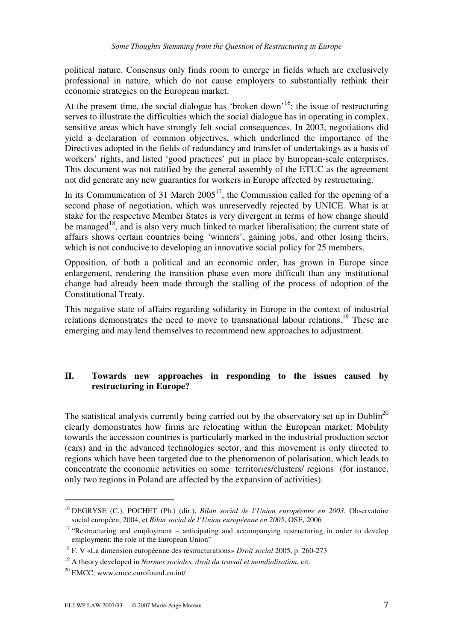political nature. Consensus only finds room to emerge in fields which are exclusively professional in nature, which do not cause employers to substantially rethink their economic strategies on the European market.

At the present time, the social dialogue has 'broken down'<sup>16</sup>; the issue of restructuring serves to illustrate the difficulties which the social dialogue has in operating in complex, sensitive areas which have strongly felt social consequences. In 2003, negotiations did yield a declaration of common objectives, which underlined the importance of the Directives adopted in the fields of redundancy and transfer of undertakings as a basis of workers' rights, and listed 'good practices' put in place by European-scale enterprises. This document was not ratified by the general assembly of the ETUC as the agreement not did generate any new guaranties for workers in Europe affected by restructuring.

In its Communication of 31 March  $2005<sup>17</sup>$ , the Commission called for the opening of a second phase of negotiation, which was unreservedly rejected by UNICE. What is at stake for the respective Member States is very divergent in terms of how change should be managed<sup>18</sup>, and is also very much linked to market liberalisation; the current state of affairs shows certain countries being 'winners', gaining jobs, and other losing theirs, which is not conducive to developing an innovative social policy for 25 members.

Opposition, of both a political and an economic order, has grown in Europe since enlargement, rendering the transition phase even more difficult than any institutional change had already been made through the stalling of the process of adoption of the Constitutional Treaty.

This negative state of affairs regarding solidarity in Europe in the context of industrial relations demonstrates the need to move to transnational labour relations.<sup>19</sup> These are emerging and may lend themselves to recommend new approaches to adjustment.

# **II. Towards new approaches in responding to the issues caused by restructuring in Europe?**

The statistical analysis currently being carried out by the observatory set up in Dublin<sup>20</sup> clearly demonstrates how firms are relocating within the European market: Mobility towards the accession countries is particularly marked in the industrial production sector (cars) and in the advanced technologies sector, and this movement is only directed to regions which have been targeted due to the phenomenon of polarisation, which leads to concentrate the economic activities on some territories/clusters/ regions (for instance, only two regions in Poland are affected by the expansion of activities).

<sup>16</sup> DEGRYSE (C.), POCHET (Ph.) (dir.), *Bilan social de l'Union européenne en 2003*, Observatoire social européen, 2004, et *Bilan social de l'Union européenne en 2005*, OSE, 2006

<sup>&</sup>lt;sup>17</sup> "Restructuring and employment – anticipating and accompanying restructuring in order to develop employment: the role of the European Union"

<sup>18</sup> F. V «La dimension européenne des restructurations» *Droit social* 2005, p. 260-273

<sup>19</sup> A theory developed in *Normes sociales, droit du travail et mondialisation*, cit.

<sup>20</sup> EMCC, www.emcc.eurofound.eu.int/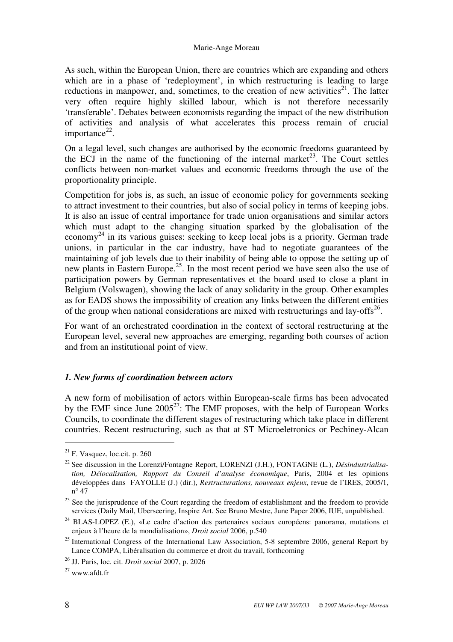As such, within the European Union, there are countries which are expanding and others which are in a phase of 'redeployment', in which restructuring is leading to large reductions in manpower, and, sometimes, to the creation of new activities<sup>21</sup>. The latter very often require highly skilled labour, which is not therefore necessarily 'transferable'. Debates between economists regarding the impact of the new distribution of activities and analysis of what accelerates this process remain of crucial importance $22$ .

On a legal level, such changes are authorised by the economic freedoms guaranteed by the ECJ in the name of the functioning of the internal market<sup>23</sup>. The Court settles conflicts between non-market values and economic freedoms through the use of the proportionality principle.

Competition for jobs is, as such, an issue of economic policy for governments seeking to attract investment to their countries, but also of social policy in terms of keeping jobs. It is also an issue of central importance for trade union organisations and similar actors which must adapt to the changing situation sparked by the globalisation of the economy<sup>24</sup> in its various guises: seeking to keep local jobs is a priority. German trade unions, in particular in the car industry, have had to negotiate guarantees of the maintaining of job levels due to their inability of being able to oppose the setting up of new plants in Eastern Europe.<sup>25</sup>. In the most recent period we have seen also the use of participation powers by German representatives et the board used to close a plant in Belgium (Volswagen), showing the lack of anay solidarity in the group. Other examples as for EADS shows the impossibility of creation any links between the different entities of the group when national considerations are mixed with restructurings and lay-offs $^{26}$ .

For want of an orchestrated coordination in the context of sectoral restructuring at the European level, several new approaches are emerging, regarding both courses of action and from an institutional point of view.

#### *1. New forms of coordination between actors*

A new form of mobilisation of actors within European-scale firms has been advocated by the EMF since June  $2005^{27}$ : The EMF proposes, with the help of European Works Councils, to coordinate the different stages of restructuring which take place in different countries. Recent restructuring, such as that at ST Microeletronics or Pechiney-Alcan

 $21$  F. Vasquez, loc.cit. p. 260

<sup>22</sup> See discussion in the Lorenzi/Fontagne Report, LORENZI (J.H.), FONTAGNE (L.), *Désindustrialisation, Délocalisation, Rapport du Conseil d'analyse économique*, Paris, 2004 et les opinions développées dans FAYOLLE (J.) (dir.), *Restructurations, nouveaux enjeux*, revue de l'IRES, 2005/1, n° 47

<sup>&</sup>lt;sup>23</sup> See the jurisprudence of the Court regarding the freedom of establishment and the freedom to provide services (Daily Mail, Uberseering, Inspire Art. See Bruno Mestre, June Paper 2006, IUE, unpublished.

<sup>24</sup> BLAS-LOPEZ (E.), «Le cadre d'action des partenaires sociaux européens: panorama, mutations et enjeux à l'heure de la mondialisation», *Droit social* 2006, p.540

 $^{25}$  International Congress of the International Law Association, 5-8 septembre 2006, general Report by Lance COMPA, Libéralisation du commerce et droit du travail, forthcoming

<sup>26</sup> JJ. Paris, loc. cit. *Droit social* 2007, p. 2026

<sup>27</sup> www.afdt.fr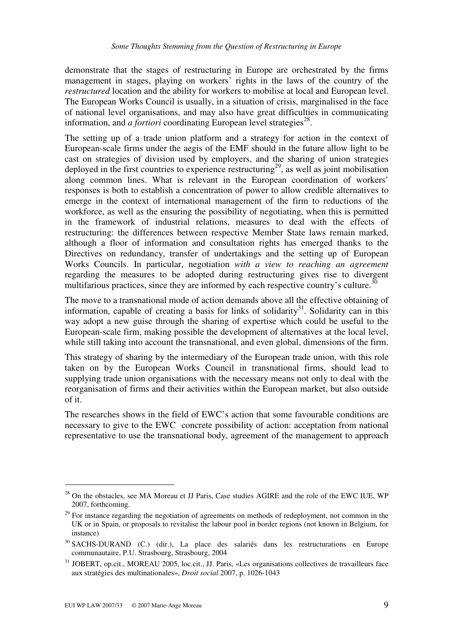demonstrate that the stages of restructuring in Europe are orchestrated by the firms management in stages, playing on workers' rights in the laws of the country of the *restructured* location and the ability for workers to mobilise at local and European level. The European Works Council is usually, in a situation of crisis, marginalised in the face of national level organisations, and may also have great difficulties in communicating information, and  $\tilde{a}$  *fortiori* coordinating European level strategies<sup>28</sup>.

The setting up of a trade union platform and a strategy for action in the context of European-scale firms under the aegis of the EMF should in the future allow light to be cast on strategies of division used by employers, and the sharing of union strategies deployed in the first countries to experience restructuring<sup>29</sup>, as well as joint mobilisation along common lines. What is relevant in the European coordination of workers' responses is both to establish a concentration of power to allow credible alternatives to emerge in the context of international management of the firm to reductions of the workforce, as well as the ensuring the possibility of negotiating, when this is permitted in the framework of industrial relations, measures to deal with the effects of restructuring: the differences between respective Member State laws remain marked, although a floor of information and consultation rights has emerged thanks to the Directives on redundancy, transfer of undertakings and the setting up of European Works Councils. In particular, negotiation *with a view to reaching an agreement* regarding the measures to be adopted during restructuring gives rise to divergent multifarious practices, since they are informed by each respective country's culture.<sup>30</sup>

The move to a transnational mode of action demands above all the effective obtaining of information, capable of creating a basis for links of solidarity<sup>31</sup>. Solidarity can in this way adopt a new guise through the sharing of expertise which could be useful to the European-scale firm, making possible the development of alternatives at the local level, while still taking into account the transnational, and even global, dimensions of the firm.

This strategy of sharing by the intermediary of the European trade union, with this role taken on by the European Works Council in transnational firms, should lead to supplying trade union organisations with the necessary means not only to deal with the reorganisation of firms and their activities within the European market, but also outside of it.

The researches shows in the field of EWC's action that some favourable conditions are necessary to give to the EWC concrete possibility of action: acceptation from national representative to use the transnational body, agreement of the management to approach

<sup>&</sup>lt;sup>28</sup> On the obstacles, see MA Moreau et JJ Paris, Case studies AGIRE and the role of the EWC IUE, WP 2007, forthcoming.

 $29$  For instance regarding the negotiation of agreements on methods of redeployment, not common in the UK or in Spain, or proposals to revitalise the labour pool in border regions (not known in Belgium, for instance)

<sup>30</sup> SACHS-DURAND (C.) (dir.), La place des salariés dans les restructurations en Europe communautaire, P.U. Strasbourg, Strasbourg, 2004

<sup>31</sup> JOBERT, op.cit., MOREAU 2005, loc.cit., JJ. Paris, «Les organisations collectives de travailleurs face aux stratégies des multinationales», *Droit social* 2007, p. 1026-1043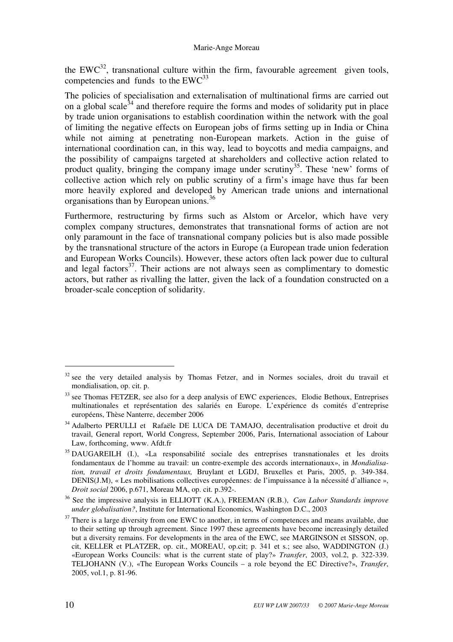the  $EWC^{32}$ , transnational culture within the firm, favourable agreement given tools, competencies and funds to the  $EWC^{33}$ 

The policies of specialisation and externalisation of multinational firms are carried out on a global scale<sup>34</sup> and therefore require the forms and modes of solidarity put in place by trade union organisations to establish coordination within the network with the goal of limiting the negative effects on European jobs of firms setting up in India or China while not aiming at penetrating non-European markets. Action in the guise of international coordination can, in this way, lead to boycotts and media campaigns, and the possibility of campaigns targeted at shareholders and collective action related to product quality, bringing the company image under scrutiny<sup>35</sup>. These 'new' forms of collective action which rely on public scrutiny of a firm's image have thus far been more heavily explored and developed by American trade unions and international organisations than by European unions.<sup>36</sup>

Furthermore, restructuring by firms such as Alstom or Arcelor, which have very complex company structures, demonstrates that transnational forms of action are not only paramount in the face of transnational company policies but is also made possible by the transnational structure of the actors in Europe (a European trade union federation and European Works Councils). However, these actors often lack power due to cultural and legal factors<sup>37</sup>. Their actions are not always seen as complimentary to domestic actors, but rather as rivalling the latter, given the lack of a foundation constructed on a broader-scale conception of solidarity.

 $32$  see the very detailed analysis by Thomas Fetzer, and in Normes sociales, droit du travail et mondialisation, op. cit. p.

 $33$  see Thomas FETZER, see also for a deep analysis of EWC experiences, Elodie Bethoux, Entreprises multinationales et représentation des salariés en Europe. L'expérience ds comités d'entreprise européens, Thèse Nanterre, december 2006

<sup>&</sup>lt;sup>34</sup> Adalberto PERULLI et Rafaële DE LUCA DE TAMAJO, decentralisation productive et droit du travail, General report, World Congress, September 2006, Paris, International association of Labour Law, forthcoming, www. Afdt.fr

<sup>&</sup>lt;sup>35</sup> DAUGAREILH (I.), «La responsabilité sociale des entreprises transnationales et les droits fondamentaux de l'homme au travail: un contre-exemple des accords internationaux», in *Mondialisation, travail et droits fondamentaux,* Bruylant et LGDJ, Bruxelles et Paris, 2005, p. 349-384. DENIS(J.M), « Les mobilisations collectives européennes: de l'impuissance à la nécessité d'alliance », *Droit social* 2006, p.671, Moreau MA, op. cit. p.392-.

<sup>36</sup> See the impressive analysis in ELLIOTT (K.A.), FREEMAN (R.B.), *Can Labor Standards improve under globalisation?*, Institute for International Economics, Washington D.C., 2003

 $37$  There is a large diversity from one EWC to another, in terms of competences and means available, due to their setting up through agreement. Since 1997 these agreements have become increasingly detailed but a diversity remains. For developments in the area of the EWC, see MARGINSON et SISSON, op. cit, KELLER et PLATZER, op. cit., MOREAU, op.cit; p. 341 et s.; see also, WADDINGTON (J.) «European Works Councils: what is the current state of play?» *Transfer*, 2003, vol.2, p. 322-339. TELJOHANN (V.), «The European Works Councils – a role beyond the EC Directive?», *Transfer*, 2005, vol.1, p. 81-96.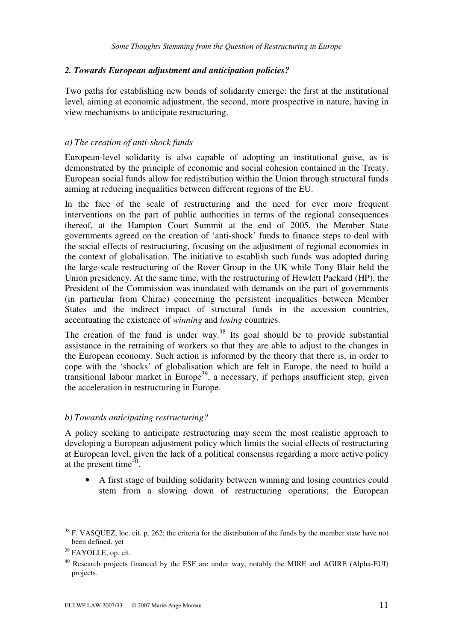#### *2. Towards European adjustment and anticipation policies?*

Two paths for establishing new bonds of solidarity emerge: the first at the institutional level, aiming at economic adjustment, the second, more prospective in nature, having in view mechanisms to anticipate restructuring.

#### *a) The creation of anti-shock funds*

European-level solidarity is also capable of adopting an institutional guise, as is demonstrated by the principle of economic and social cohesion contained in the Treaty. European social funds allow for redistribution within the Union through structural funds aiming at reducing inequalities between different regions of the EU.

In the face of the scale of restructuring and the need for ever more frequent interventions on the part of public authorities in terms of the regional consequences thereof, at the Hampton Court Summit at the end of 2005, the Member State governments agreed on the creation of 'anti-shock' funds to finance steps to deal with the social effects of restructuring, focusing on the adjustment of regional economies in the context of globalisation. The initiative to establish such funds was adopted during the large-scale restructuring of the Rover Group in the UK while Tony Blair held the Union presidency. At the same time, with the restructuring of Hewlett Packard (HP), the President of the Commission was inundated with demands on the part of governments (in particular from Chirac) concerning the persistent inequalities between Member States and the indirect impact of structural funds in the accession countries, accentuating the existence of *winning* and *losing* countries.

The creation of the fund is under way.<sup>38</sup> Its goal should be to provide substantial assistance in the retraining of workers so that they are able to adjust to the changes in the European economy. Such action is informed by the theory that there is, in order to cope with the 'shocks' of globalisation which are felt in Europe, the need to build a transitional labour market in Europe<sup>39</sup>, a necessary, if perhaps insufficient step, given the acceleration in restructuring in Europe.

#### *b) Towards anticipating restructuring?*

A policy seeking to anticipate restructuring may seem the most realistic approach to developing a European adjustment policy which limits the social effects of restructuring at European level, given the lack of a political consensus regarding a more active policy at the present time $40$ .

• A first stage of building solidarity between winning and losing countries could stem from a slowing down of restructuring operations; the European

<sup>&</sup>lt;sup>38</sup> F. VASQUEZ, loc. cit. p. 262; the criteria for the distribution of the funds by the member state have not been defined. yet

<sup>39</sup> FAYOLLE, op. cit.

 $40$  Research projects financed by the ESF are under way, notably the MIRE and AGIRE (Alpha-EUI) projects.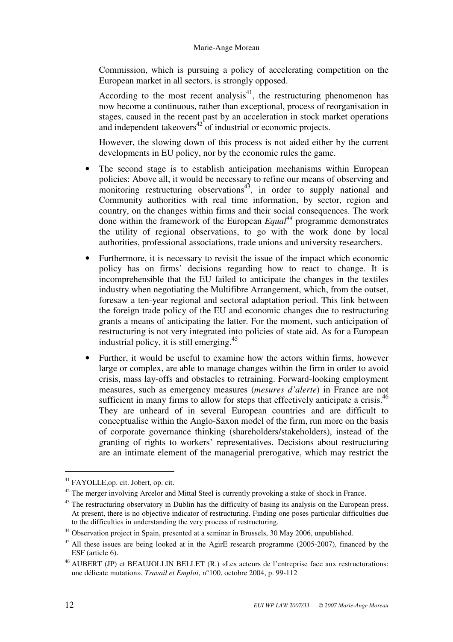Commission, which is pursuing a policy of accelerating competition on the European market in all sectors, is strongly opposed.

According to the most recent analysis<sup>41</sup>, the restructuring phenomenon has now become a continuous, rather than exceptional, process of reorganisation in stages, caused in the recent past by an acceleration in stock market operations and independent takeovers<sup>42</sup> of industrial or economic projects.

However, the slowing down of this process is not aided either by the current developments in EU policy, nor by the economic rules the game.

- The second stage is to establish anticipation mechanisms within European policies: Above all, it would be necessary to refine our means of observing and monitoring restructuring observations<sup>43</sup>, in order to supply national and Community authorities with real time information, by sector, region and country, on the changes within firms and their social consequences. The work done within the framework of the European *Equal<sup>44</sup>* programme demonstrates the utility of regional observations, to go with the work done by local authorities, professional associations, trade unions and university researchers.
- Furthermore, it is necessary to revisit the issue of the impact which economic policy has on firms' decisions regarding how to react to change. It is incomprehensible that the EU failed to anticipate the changes in the textiles industry when negotiating the Multifibre Arrangement, which, from the outset, foresaw a ten-year regional and sectoral adaptation period. This link between the foreign trade policy of the EU and economic changes due to restructuring grants a means of anticipating the latter. For the moment, such anticipation of restructuring is not very integrated into policies of state aid. As for a European industrial policy, it is still emerging.<sup>45</sup>
- Further, it would be useful to examine how the actors within firms, however large or complex, are able to manage changes within the firm in order to avoid crisis, mass lay-offs and obstacles to retraining. Forward-looking employment measures, such as emergency measures (*mesures d'alerte*) in France are not sufficient in many firms to allow for steps that effectively anticipate a crisis.<sup>46</sup> They are unheard of in several European countries and are difficult to conceptualise within the Anglo-Saxon model of the firm, run more on the basis of corporate governance thinking (shareholders/stakeholders), instead of the granting of rights to workers' representatives. Decisions about restructuring are an intimate element of the managerial prerogative, which may restrict the

<sup>41</sup> FAYOLLE,op. cit. Jobert, op. cit.

 $42$  The merger involving Arcelor and Mittal Steel is currently provoking a stake of shock in France.

 $43$  The restructuring observatory in Dublin has the difficulty of basing its analysis on the European press. At present, there is no objective indicator of restructuring. Finding one poses particular difficulties due to the difficulties in understanding the very process of restructuring.

<sup>44</sup> Observation project in Spain, presented at a seminar in Brussels, 30 May 2006, unpublished.

<sup>&</sup>lt;sup>45</sup> All these issues are being looked at in the AgirE research programme (2005-2007), financed by the ESF (article 6).

<sup>46</sup> AUBERT (JP) et BEAUJOLLIN BELLET (R.) «Les acteurs de l'entreprise face aux restructurations: une délicate mutation», *Travail et Emploi*, n°100, octobre 2004, p. 99-112